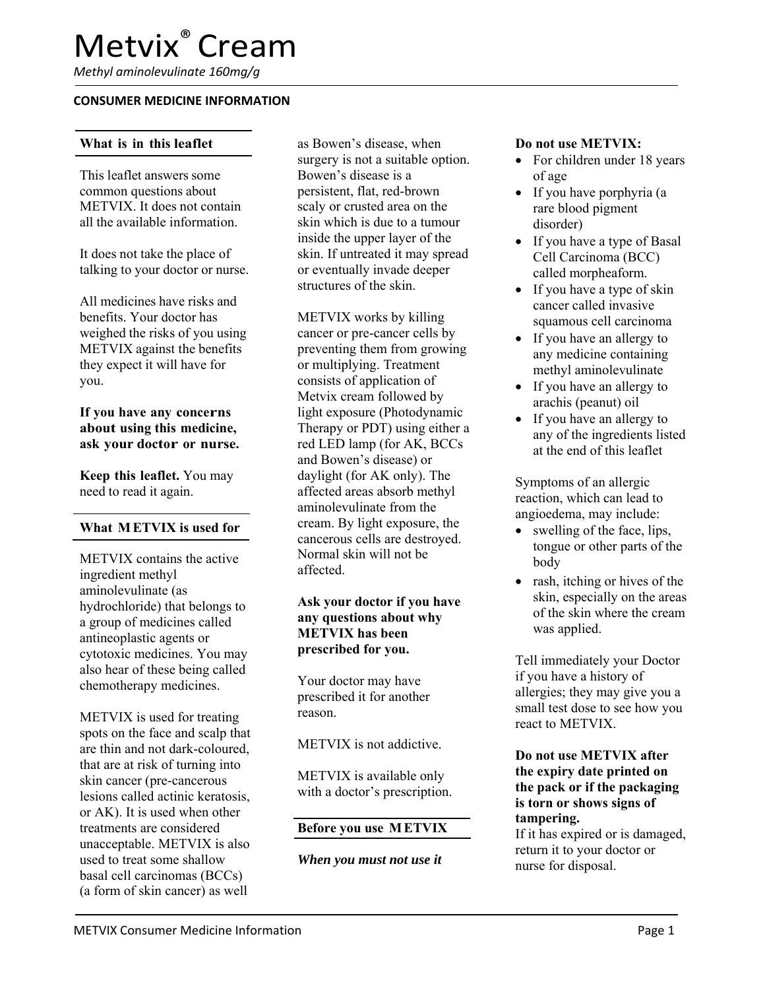*Methyl aminolevulinate 160mg/g* 

#### **CONSUMER MEDICINE INFORMATION**

### **What is in this leaflet**

This leaflet answers some common questions about METVIX. It does not contain all the available information.

It does not take the place of talking to your doctor or nurse.

All medicines have risks and benefits. Your doctor has weighed the risks of you using METVIX against the benefits they expect it will have for you.

**If you have any concerns about using this medicine, ask your doctor or nurse.** 

**Keep this leaflet.** You may need to read it again.

#### **What M ETVIX is used for**

METVIX contains the active ingredient methyl aminolevulinate (as hydrochloride) that belongs to a group of medicines called antineoplastic agents or cytotoxic medicines. You may also hear of these being called chemotherapy medicines.

METVIX is used for treating spots on the face and scalp that are thin and not dark-coloured, that are at risk of turning into skin cancer (pre-cancerous lesions called actinic keratosis, or AK). It is used when other treatments are considered unacceptable. METVIX is also used to treat some shallow basal cell carcinomas (BCCs) (a form of skin cancer) as well

as Bowen's disease, when surgery is not a suitable option. Bowen's disease is a persistent, flat, red-brown scaly or crusted area on the skin which is due to a tumour inside the upper layer of the skin. If untreated it may spread or eventually invade deeper structures of the skin.

METVIX works by killing cancer or pre-cancer cells by preventing them from growing or multiplying. Treatment consists of application of Metvix cream followed by light exposure (Photodynamic Therapy or PDT) using either a red LED lamp (for AK, BCCs and Bowen's disease) or daylight (for AK only). The affected areas absorb methyl aminolevulinate from the cream. By light exposure, the cancerous cells are destroyed. Normal skin will not be affected.

### **Ask your doctor if you have any questions about why METVIX has been prescribed for you.**

Your doctor may have prescribed it for another reason.

METVIX is not addictive.

METVIX is available only with a doctor's prescription.

### **Before you use M ETVIX**

*When you must not use it* 

#### **Do not use METVIX:**

- For children under 18 years of age
- If you have porphyria (a rare blood pigment disorder)
- If you have a type of Basal Cell Carcinoma (BCC) called morpheaform.
- If you have a type of skin cancer called invasive squamous cell carcinoma
- If you have an allergy to any medicine containing methyl aminolevulinate
- If you have an allergy to arachis (peanut) oil
- If you have an allergy to any of the ingredients listed at the end of this leaflet

Symptoms of an allergic reaction, which can lead to angioedema, may include:

- swelling of the face, lips, tongue or other parts of the body
- rash, itching or hives of the skin, especially on the areas of the skin where the cream was applied.

Tell immediately your Doctor if you have a history of allergies; they may give you a small test dose to see how you react to METVIX.

### **Do not use METVIX after the expiry date printed on the pack or if the packaging is torn or shows signs of tampering.**

If it has expired or is damaged, return it to your doctor or nurse for disposal.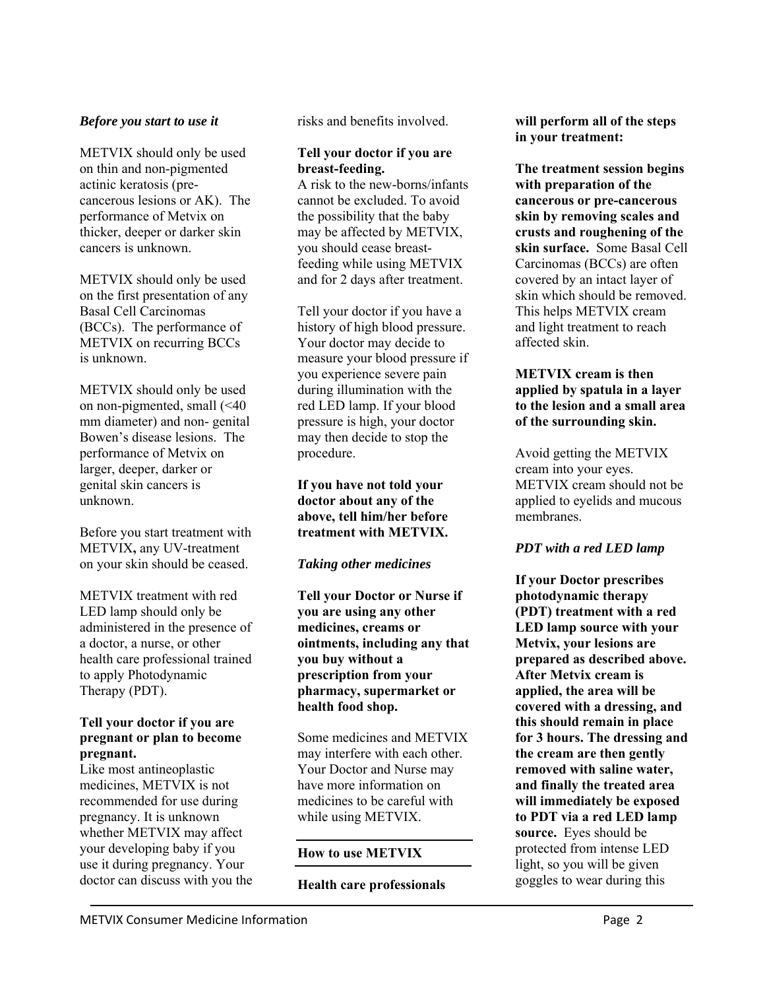### *Before you start to use it*

METVIX should only be used on thin and non-pigmented actinic keratosis (precancerous lesions or AK). The performance of Metvix on thicker, deeper or darker skin cancers is unknown.

METVIX should only be used on the first presentation of any Basal Cell Carcinomas (BCCs). The performance of METVIX on recurring BCCs is unknown.

METVIX should only be used on non-pigmented, small (<40 mm diameter) and non- genital Bowen's disease lesions. The performance of Metvix on larger, deeper, darker or genital skin cancers is unknown.

Before you start treatment with METVIX**,** any UV-treatment on your skin should be ceased.

METVIX treatment with red LED lamp should only be administered in the presence of a doctor, a nurse, or other health care professional trained to apply Photodynamic Therapy (PDT).

### **Tell your doctor if you are pregnant or plan to become pregnant.**

Like most antineoplastic medicines, METVIX is not recommended for use during pregnancy. It is unknown whether METVIX may affect your developing baby if you use it during pregnancy. Your doctor can discuss with you the risks and benefits involved.

### **Tell your doctor if you are breast-feeding.**

A risk to the new-borns/infants cannot be excluded. To avoid the possibility that the baby may be affected by METVIX, you should cease breastfeeding while using METVIX and for 2 days after treatment.

Tell your doctor if you have a history of high blood pressure. Your doctor may decide to measure your blood pressure if you experience severe pain during illumination with the red LED lamp. If your blood pressure is high, your doctor may then decide to stop the procedure.

### **If you have not told your doctor about any of the above, tell him/her before treatment with METVIX.**

# *Taking other medicines*

**Tell your Doctor or Nurse if you are using any other medicines, creams or ointments, including any that you buy without a prescription from your pharmacy, supermarket or health food shop.** 

Some medicines and METVIX may interfere with each other. Your Doctor and Nurse may have more information on medicines to be careful with while using METVIX.

# **How to use METVIX**

# **Health care professionals**

**will perform all of the steps in your treatment:** 

**The treatment session begins with preparation of the cancerous or pre-cancerous skin by removing scales and crusts and roughening of the skin surface.** Some Basal Cell Carcinomas (BCCs) are often covered by an intact layer of skin which should be removed. This helps METVIX cream and light treatment to reach affected skin.

### **METVIX cream is then applied by spatula in a layer to the lesion and a small area of the surrounding skin.**

Avoid getting the METVIX cream into your eyes. METVIX cream should not be applied to eyelids and mucous membranes.

# *PDT with a red LED lamp*

**If your Doctor prescribes photodynamic therapy (PDT) treatment with a red LED lamp source with your Metvix, your lesions are prepared as described above. After Metvix cream is applied, the area will be covered with a dressing, and this should remain in place for 3 hours. The dressing and the cream are then gently removed with saline water, and finally the treated area will immediately be exposed to PDT via a red LED lamp source.** Eyes should be protected from intense LED light, so you will be given goggles to wear during this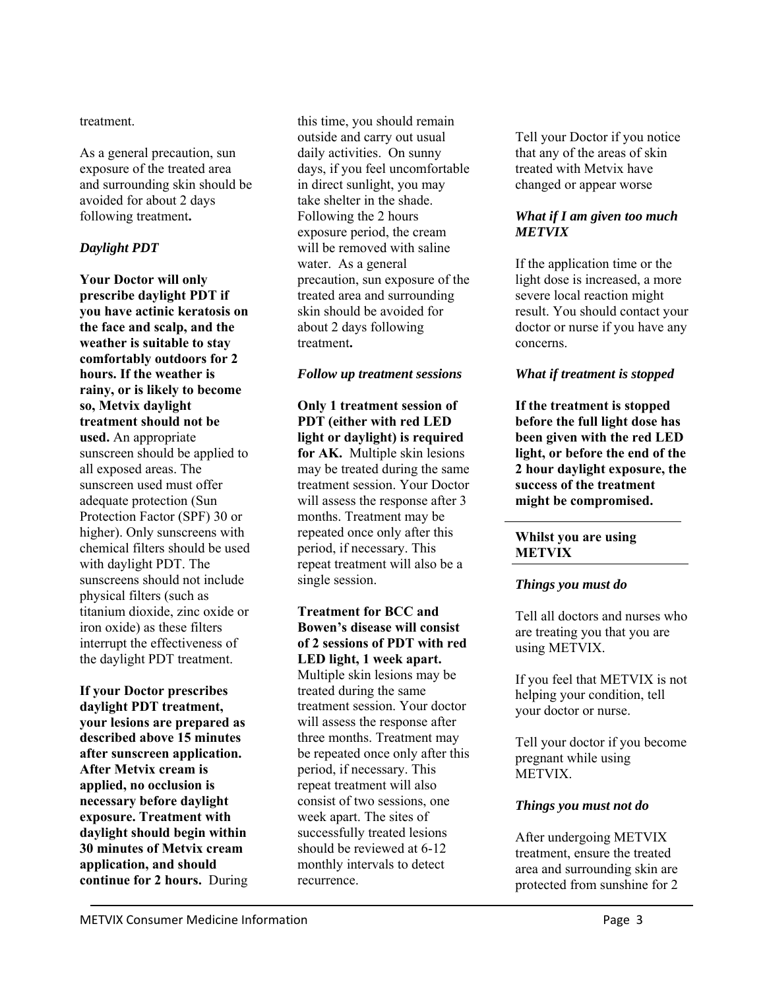treatment.

As a general precaution, sun exposure of the treated area and surrounding skin should be avoided for about 2 days following treatment**.** 

# *Daylight PDT*

**Your Doctor will only prescribe daylight PDT if you have actinic keratosis on the face and scalp, and the weather is suitable to stay comfortably outdoors for 2 hours. If the weather is rainy, or is likely to become so, Metvix daylight treatment should not be used.** An appropriate sunscreen should be applied to all exposed areas. The sunscreen used must offer adequate protection (Sun Protection Factor (SPF) 30 or higher). Only sunscreens with chemical filters should be used with daylight PDT. The sunscreens should not include physical filters (such as titanium dioxide, zinc oxide or iron oxide) as these filters interrupt the effectiveness of the daylight PDT treatment.

**If your Doctor prescribes daylight PDT treatment, your lesions are prepared as described above 15 minutes after sunscreen application. After Metvix cream is applied, no occlusion is necessary before daylight exposure. Treatment with daylight should begin within 30 minutes of Metvix cream application, and should continue for 2 hours.** During this time, you should remain outside and carry out usual daily activities. On sunny days, if you feel uncomfortable in direct sunlight, you may take shelter in the shade. Following the 2 hours exposure period, the cream will be removed with saline water. As a general precaution, sun exposure of the treated area and surrounding skin should be avoided for about 2 days following treatment**.** 

### *Follow up treatment sessions*

**Only 1 treatment session of PDT (either with red LED light or daylight) is required for AK.** Multiple skin lesions may be treated during the same treatment session. Your Doctor will assess the response after 3 months. Treatment may be repeated once only after this period, if necessary. This repeat treatment will also be a single session.

**Treatment for BCC and Bowen's disease will consist of 2 sessions of PDT with red LED light, 1 week apart.**  Multiple skin lesions may be treated during the same treatment session. Your doctor will assess the response after three months. Treatment may be repeated once only after this period, if necessary. This repeat treatment will also consist of two sessions, one week apart. The sites of successfully treated lesions should be reviewed at 6-12 monthly intervals to detect recurrence.

Tell your Doctor if you notice that any of the areas of skin treated with Metvix have changed or appear worse

### *What if I am given too much METVIX*

If the application time or the light dose is increased, a more severe local reaction might result. You should contact your doctor or nurse if you have any concerns.

# *What if treatment is stopped*

**If the treatment is stopped before the full light dose has been given with the red LED light, or before the end of the 2 hour daylight exposure, the success of the treatment might be compromised.** 

#### **Whilst you are using METVIX**

# *Things you must do*

Tell all doctors and nurses who are treating you that you are using METVIX.

If you feel that METVIX is not helping your condition, tell your doctor or nurse.

Tell your doctor if you become pregnant while using METVIX.

# *Things you must not do*

After undergoing METVIX treatment, ensure the treated area and surrounding skin are protected from sunshine for 2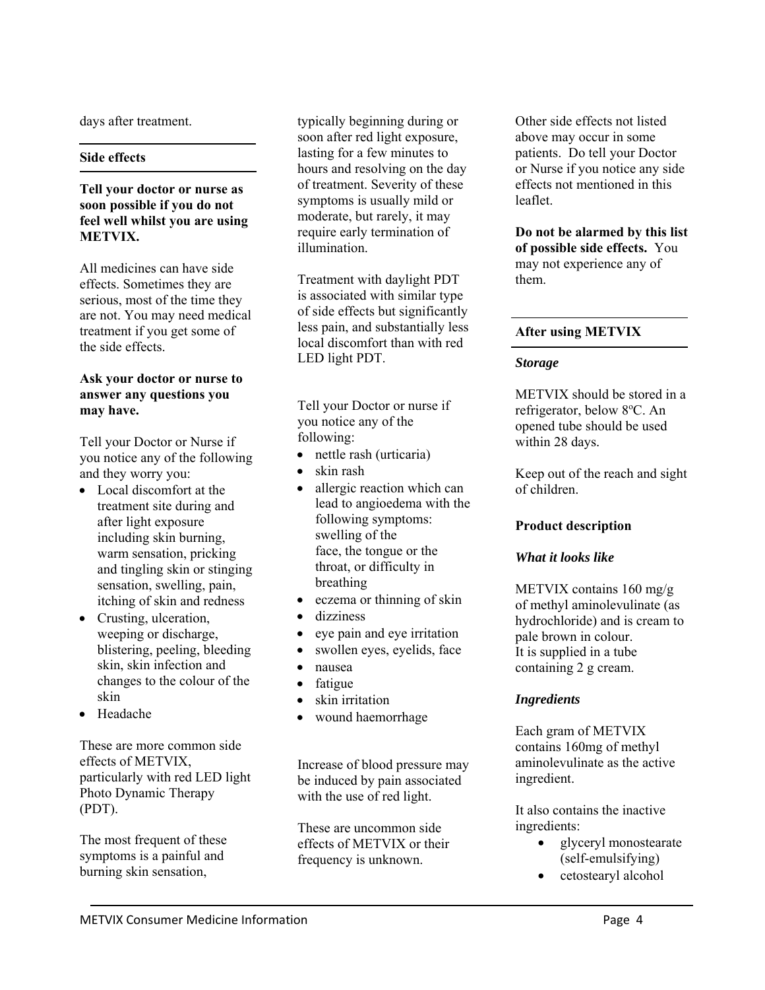days after treatment.

### **Side effects**

**Tell your doctor or nurse as soon possible if you do not feel well whilst you are using METVIX.** 

All medicines can have side effects. Sometimes they are serious, most of the time they are not. You may need medical treatment if you get some of the side effects.

### **Ask your doctor or nurse to answer any questions you may have.**

Tell your Doctor or Nurse if you notice any of the following and they worry you:

- Local discomfort at the treatment site during and after light exposure including skin burning, warm sensation, pricking and tingling skin or stinging sensation, swelling, pain, itching of skin and redness
- Crusting, ulceration, weeping or discharge, blistering, peeling, bleeding skin, skin infection and changes to the colour of the skin
- Headache

These are more common side effects of METVIX, particularly with red LED light Photo Dynamic Therapy (PDT).

The most frequent of these symptoms is a painful and burning skin sensation,

typically beginning during or soon after red light exposure, lasting for a few minutes to hours and resolving on the day of treatment. Severity of these symptoms is usually mild or moderate, but rarely, it may require early termination of illumination.

Treatment with daylight PDT is associated with similar type of side effects but significantly less pain, and substantially less local discomfort than with red LED light PDT.

Tell your Doctor or nurse if you notice any of the following:

- nettle rash (urticaria)
- skin rash
- allergic reaction which can lead to angioedema with the following symptoms: swelling of the face, the tongue or the throat, or difficulty in breathing
- eczema or thinning of skin
- dizziness
- eye pain and eye irritation
- swollen eyes, eyelids, face
- nausea
- fatigue
- skin irritation
- wound haemorrhage

Increase of blood pressure may be induced by pain associated with the use of red light.

These are uncommon side effects of METVIX or their frequency is unknown.

Other side effects not listed above may occur in some patients. Do tell your Doctor or Nurse if you notice any side effects not mentioned in this leaflet.

**Do not be alarmed by this list of possible side effects.** You may not experience any of them.

# **After using METVIX**

### *Storage*

METVIX should be stored in a refrigerator, below 8°C. An opened tube should be used within 28 days.

Keep out of the reach and sight of children.

# **Product description**

# *What it looks like*

METVIX contains 160 mg/g of methyl aminolevulinate (as hydrochloride) and is cream to pale brown in colour. It is supplied in a tube containing 2 g cream.

# *Ingredients*

Each gram of METVIX contains 160mg of methyl aminolevulinate as the active ingredient.

It also contains the inactive ingredients:

- glyceryl monostearate (self-emulsifying)
- cetostearyl alcohol